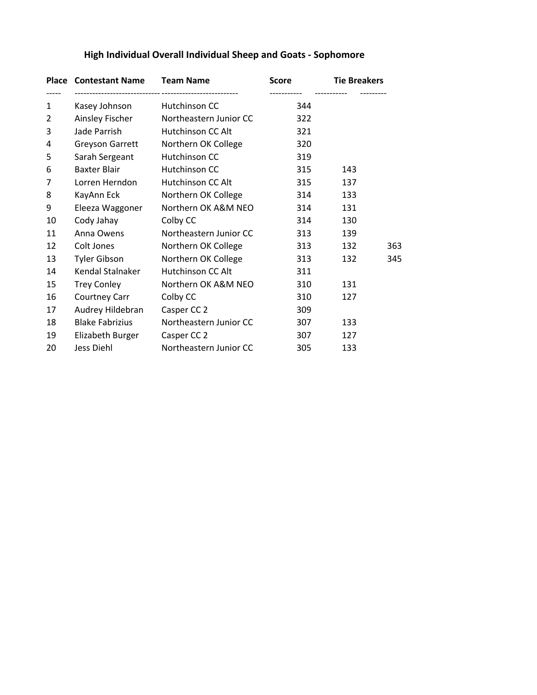|                | <b>Place Contestant Name</b> | <b>Team Name</b>         | <b>Score</b> | <b>Tie Breakers</b> |     |
|----------------|------------------------------|--------------------------|--------------|---------------------|-----|
| 1              | Kasey Johnson                | Hutchinson CC            | 344          |                     |     |
| $\overline{2}$ | Ainsley Fischer              | Northeastern Junior CC   | 322          |                     |     |
| 3              | Jade Parrish                 | Hutchinson CC Alt        | 321          |                     |     |
| 4              | Greyson Garrett              | Northern OK College      | 320          |                     |     |
| 5              | Sarah Sergeant               | Hutchinson CC            | 319          |                     |     |
| 6              | <b>Baxter Blair</b>          | Hutchinson CC            | 315          | 143                 |     |
| 7              | Lorren Herndon               | Hutchinson CC Alt        | 315          | 137                 |     |
| 8              | KayAnn Eck                   | Northern OK College      | 314          | 133                 |     |
| 9              | Eleeza Waggoner              | Northern OK A&M NEO      | 314          | 131                 |     |
| 10             | Cody Jahay                   | Colby CC                 | 314          | 130                 |     |
| 11             | Anna Owens                   | Northeastern Junior CC   | 313          | 139                 |     |
| 12             | Colt Jones                   | Northern OK College      | 313          | 132                 | 363 |
| 13             | <b>Tyler Gibson</b>          | Northern OK College      | 313          | 132                 | 345 |
| 14             | Kendal Stalnaker             | <b>Hutchinson CC Alt</b> | 311          |                     |     |
| 15             | <b>Trey Conley</b>           | Northern OK A&M NEO      | 310          | 131                 |     |
| 16             | Courtney Carr                | Colby CC                 | 310          | 127                 |     |
| 17             | Audrey Hildebran             | Casper CC 2              | 309          |                     |     |
| 18             | <b>Blake Fabrizius</b>       | Northeastern Junior CC   | 307          | 133                 |     |
| 19             | Elizabeth Burger             | Casper CC 2              | 307          | 127                 |     |
| 20             | Jess Diehl                   | Northeastern Junior CC   | 305          | 133                 |     |

## **High Individual Overall Individual Sheep and Goats - Sophomore**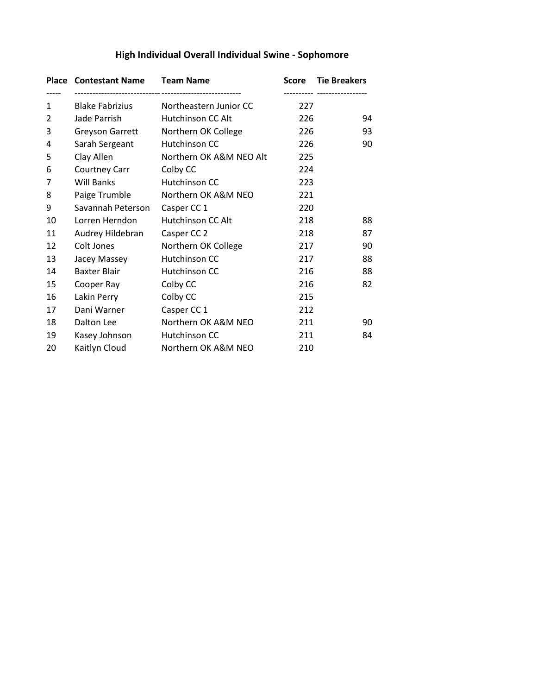|    | <b>Place Contestant Name</b> | <b>Team Name</b>        | Score | <b>Tie Breakers</b> |
|----|------------------------------|-------------------------|-------|---------------------|
| 1  | <b>Blake Fabrizius</b>       | Northeastern Junior CC  | 227   |                     |
| 2  | Jade Parrish                 | Hutchinson CC Alt       | 226   | 94                  |
| 3  | Greyson Garrett              | Northern OK College     | 226   | 93                  |
| 4  | Sarah Sergeant               | Hutchinson CC           | 226   | 90                  |
| 5  | Clay Allen                   | Northern OK A&M NEO Alt | 225   |                     |
| 6  | Courtney Carr                | Colby CC                | 224   |                     |
| 7  | <b>Will Banks</b>            | Hutchinson CC           | 223   |                     |
| 8  | Paige Trumble                | Northern OK A&M NEO     | 221   |                     |
| 9  | Savannah Peterson            | Casper CC 1             | 220   |                     |
| 10 | Lorren Herndon               | Hutchinson CC Alt       | 218   | 88                  |
| 11 | Audrey Hildebran             | Casper CC 2             | 218   | 87                  |
| 12 | Colt Jones                   | Northern OK College     | 217   | 90                  |
| 13 | Jacey Massey                 | Hutchinson CC           | 217   | 88                  |
| 14 | <b>Baxter Blair</b>          | Hutchinson CC           | 216   | 88                  |
| 15 | Cooper Ray                   | Colby CC                | 216   | 82                  |
| 16 | Lakin Perry                  | Colby CC                | 215   |                     |
| 17 | Dani Warner                  | Casper CC 1             | 212   |                     |
| 18 | Dalton Lee                   | Northern OK A&M NEO     | 211   | 90                  |
| 19 | Kasey Johnson                | Hutchinson CC           | 211   | 84                  |
| 20 | Kaitlyn Cloud                | Northern OK A&M NEO     | 210   |                     |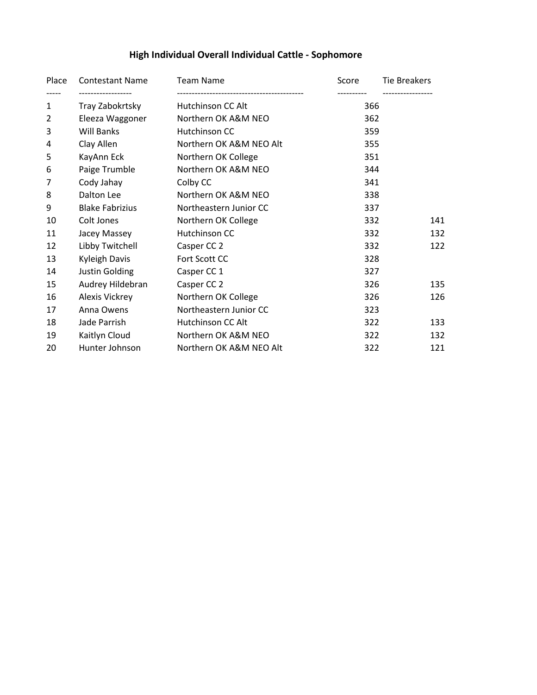## **High Individual Overall Individual Cattle - Sophomore**

| Place          | <b>Contestant Name</b> | <b>Team Name</b>        | Score | <b>Tie Breakers</b> |
|----------------|------------------------|-------------------------|-------|---------------------|
| 1              | Tray Zabokrtsky        | Hutchinson CC Alt       | 366   |                     |
| $\overline{2}$ | Eleeza Waggoner        | Northern OK A&M NEO     | 362   |                     |
| 3              | Will Banks             | Hutchinson CC           | 359   |                     |
| 4              | Clay Allen             | Northern OK A&M NEO Alt | 355   |                     |
| 5              | KayAnn Eck             | Northern OK College     | 351   |                     |
| 6              | Paige Trumble          | Northern OK A&M NEO     | 344   |                     |
| 7              | Cody Jahay             | Colby CC                | 341   |                     |
| 8              | Dalton Lee             | Northern OK A&M NEO     | 338   |                     |
| 9              | <b>Blake Fabrizius</b> | Northeastern Junior CC  | 337   |                     |
| 10             | Colt Jones             | Northern OK College     | 332   | 141                 |
| 11             | Jacey Massey           | Hutchinson CC           | 332   | 132                 |
| 12             | Libby Twitchell        | Casper CC 2             | 332   | 122                 |
| 13             | Kyleigh Davis          | Fort Scott CC           | 328   |                     |
| 14             | Justin Golding         | Casper CC 1             | 327   |                     |
| 15             | Audrey Hildebran       | Casper CC 2             | 326   | 135                 |
| 16             | Alexis Vickrey         | Northern OK College     | 326   | 126                 |
| 17             | Anna Owens             | Northeastern Junior CC  | 323   |                     |
| 18             | Jade Parrish           | Hutchinson CC Alt       | 322   | 133                 |
| 19             | Kaitlyn Cloud          | Northern OK A&M NEO     | 322   | 132                 |
| 20             | Hunter Johnson         | Northern OK A&M NEO Alt | 322   | 121                 |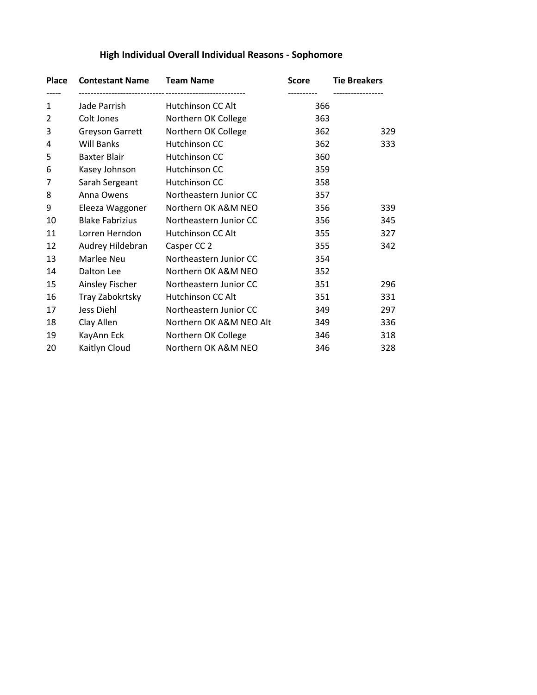| <b>Place</b>   | <b>Contestant Name Team Name</b> |                         | <b>Score</b> | <b>Tie Breakers</b> |
|----------------|----------------------------------|-------------------------|--------------|---------------------|
| 1              | Jade Parrish                     | Hutchinson CC Alt       | 366          |                     |
| $\overline{2}$ | Colt Jones                       | Northern OK College     | 363          |                     |
| 3              | <b>Greyson Garrett</b>           | Northern OK College     | 362          | 329                 |
| 4              | <b>Will Banks</b>                | Hutchinson CC           | 362          | 333                 |
| 5              | <b>Baxter Blair</b>              | Hutchinson CC           | 360          |                     |
| 6              | Kasey Johnson                    | Hutchinson CC           | 359          |                     |
| 7              | Sarah Sergeant                   | Hutchinson CC           | 358          |                     |
| 8              | Anna Owens                       | Northeastern Junior CC  | 357          |                     |
| 9              | Eleeza Waggoner                  | Northern OK A&M NEO     | 356          | 339                 |
| 10             | <b>Blake Fabrizius</b>           | Northeastern Junior CC  | 356          | 345                 |
| 11             | Lorren Herndon                   | Hutchinson CC Alt       | 355          | 327                 |
| 12             | Audrey Hildebran                 | Casper CC 2             | 355          | 342                 |
| 13             | Marlee Neu                       | Northeastern Junior CC  | 354          |                     |
| 14             | Dalton Lee                       | Northern OK A&M NEO     | 352          |                     |
| 15             | Ainsley Fischer                  | Northeastern Junior CC  | 351          | 296                 |
| 16             | Tray Zabokrtsky                  | Hutchinson CC Alt       | 351          | 331                 |
| 17             | Jess Diehl                       | Northeastern Junior CC  | 349          | 297                 |
| 18             | Clay Allen                       | Northern OK A&M NEO Alt | 349          | 336                 |
| 19             | KayAnn Eck                       | Northern OK College     | 346          | 318                 |
| 20             | Kaitlyn Cloud                    | Northern OK A&M NEO     | 346          | 328                 |

## **High Individual Overall Individual Reasons - Sophomore**